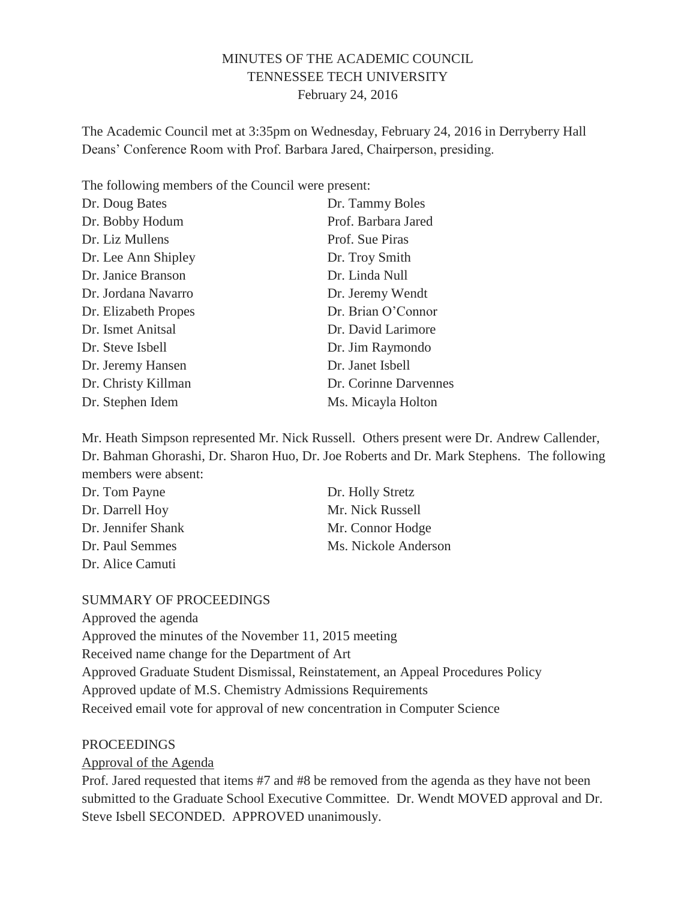### MINUTES OF THE ACADEMIC COUNCIL TENNESSEE TECH UNIVERSITY February 24, 2016

The Academic Council met at 3:35pm on Wednesday, February 24, 2016 in Derryberry Hall Deans' Conference Room with Prof. Barbara Jared, Chairperson, presiding.

The following members of the Council were present:

| Dr. Doug Bates       | Dr. Tammy Boles       |
|----------------------|-----------------------|
| Dr. Bobby Hodum      | Prof. Barbara Jared   |
| Dr. Liz Mullens      | Prof. Sue Piras       |
| Dr. Lee Ann Shipley  | Dr. Troy Smith        |
| Dr. Janice Branson   | Dr. Linda Null        |
| Dr. Jordana Navarro  | Dr. Jeremy Wendt      |
| Dr. Elizabeth Propes | Dr. Brian O'Connor    |
| Dr. Ismet Anitsal    | Dr. David Larimore    |
| Dr. Steve Isbell     | Dr. Jim Raymondo      |
| Dr. Jeremy Hansen    | Dr. Janet Isbell      |
| Dr. Christy Killman  | Dr. Corinne Darvennes |
| Dr. Stephen Idem     | Ms. Micayla Holton    |
|                      |                       |

Mr. Heath Simpson represented Mr. Nick Russell. Others present were Dr. Andrew Callender, Dr. Bahman Ghorashi, Dr. Sharon Huo, Dr. Joe Roberts and Dr. Mark Stephens. The following members were absent:

| Dr. Tom Payne      | Dr. Holly Stretz     |
|--------------------|----------------------|
| Dr. Darrell Hoy    | Mr. Nick Russell     |
| Dr. Jennifer Shank | Mr. Connor Hodge     |
| Dr. Paul Semmes    | Ms. Nickole Anderson |
| Dr. Alice Camuti   |                      |

#### SUMMARY OF PROCEEDINGS

Approved the agenda

Approved the minutes of the November 11, 2015 meeting

Received name change for the Department of Art

Approved Graduate Student Dismissal, Reinstatement, an Appeal Procedures Policy

Approved update of M.S. Chemistry Admissions Requirements

Received email vote for approval of new concentration in Computer Science

#### **PROCEEDINGS**

Approval of the Agenda

Prof. Jared requested that items #7 and #8 be removed from the agenda as they have not been submitted to the Graduate School Executive Committee. Dr. Wendt MOVED approval and Dr. Steve Isbell SECONDED. APPROVED unanimously.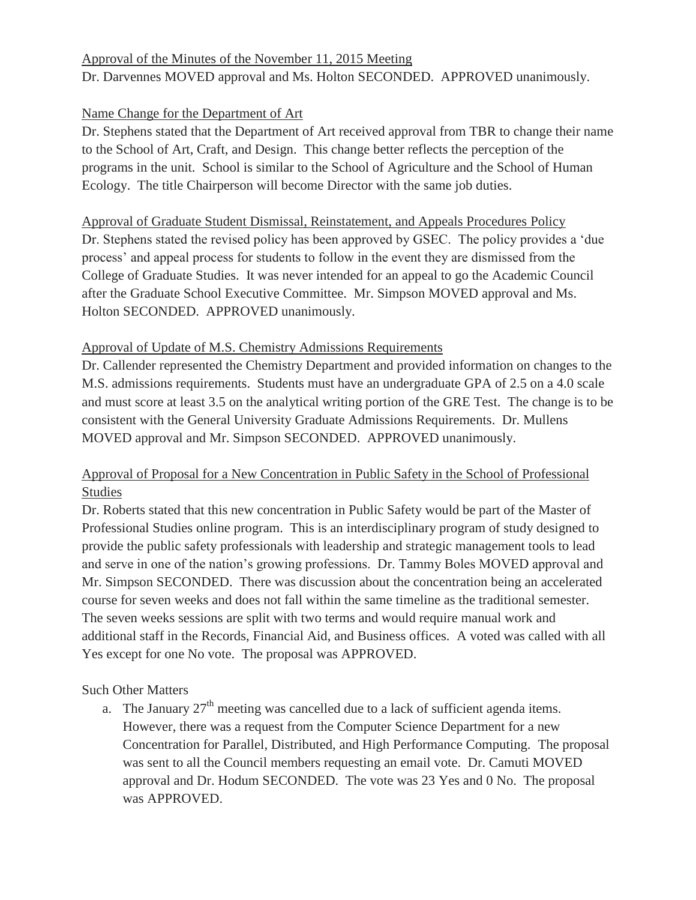# Approval of the Minutes of the November 11, 2015 Meeting Dr. Darvennes MOVED approval and Ms. Holton SECONDED. APPROVED unanimously.

### Name Change for the Department of Art

Dr. Stephens stated that the Department of Art received approval from TBR to change their name to the School of Art, Craft, and Design. This change better reflects the perception of the programs in the unit. School is similar to the School of Agriculture and the School of Human Ecology. The title Chairperson will become Director with the same job duties.

### Approval of Graduate Student Dismissal, Reinstatement, and Appeals Procedures Policy

Dr. Stephens stated the revised policy has been approved by GSEC. The policy provides a 'due process' and appeal process for students to follow in the event they are dismissed from the College of Graduate Studies. It was never intended for an appeal to go the Academic Council after the Graduate School Executive Committee. Mr. Simpson MOVED approval and Ms. Holton SECONDED. APPROVED unanimously.

#### Approval of Update of M.S. Chemistry Admissions Requirements

Dr. Callender represented the Chemistry Department and provided information on changes to the M.S. admissions requirements. Students must have an undergraduate GPA of 2.5 on a 4.0 scale and must score at least 3.5 on the analytical writing portion of the GRE Test. The change is to be consistent with the General University Graduate Admissions Requirements. Dr. Mullens MOVED approval and Mr. Simpson SECONDED. APPROVED unanimously.

## Approval of Proposal for a New Concentration in Public Safety in the School of Professional Studies

Dr. Roberts stated that this new concentration in Public Safety would be part of the Master of Professional Studies online program. This is an interdisciplinary program of study designed to provide the public safety professionals with leadership and strategic management tools to lead and serve in one of the nation's growing professions. Dr. Tammy Boles MOVED approval and Mr. Simpson SECONDED. There was discussion about the concentration being an accelerated course for seven weeks and does not fall within the same timeline as the traditional semester. The seven weeks sessions are split with two terms and would require manual work and additional staff in the Records, Financial Aid, and Business offices. A voted was called with all Yes except for one No vote. The proposal was APPROVED.

Such Other Matters

a. The January  $27<sup>th</sup>$  meeting was cancelled due to a lack of sufficient agenda items. However, there was a request from the Computer Science Department for a new Concentration for Parallel, Distributed, and High Performance Computing. The proposal was sent to all the Council members requesting an email vote. Dr. Camuti MOVED approval and Dr. Hodum SECONDED. The vote was 23 Yes and 0 No. The proposal was APPROVED.